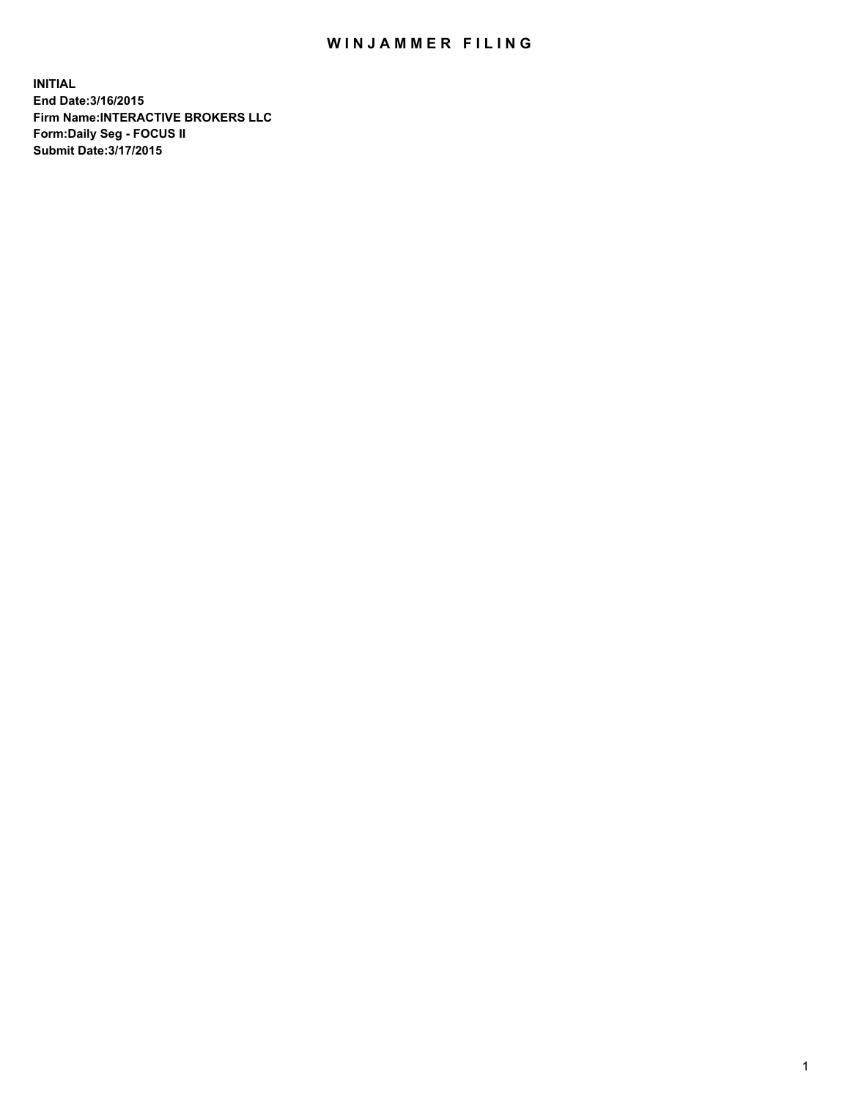## WIN JAMMER FILING

**INITIAL End Date:3/16/2015 Firm Name:INTERACTIVE BROKERS LLC Form:Daily Seg - FOCUS II Submit Date:3/17/2015**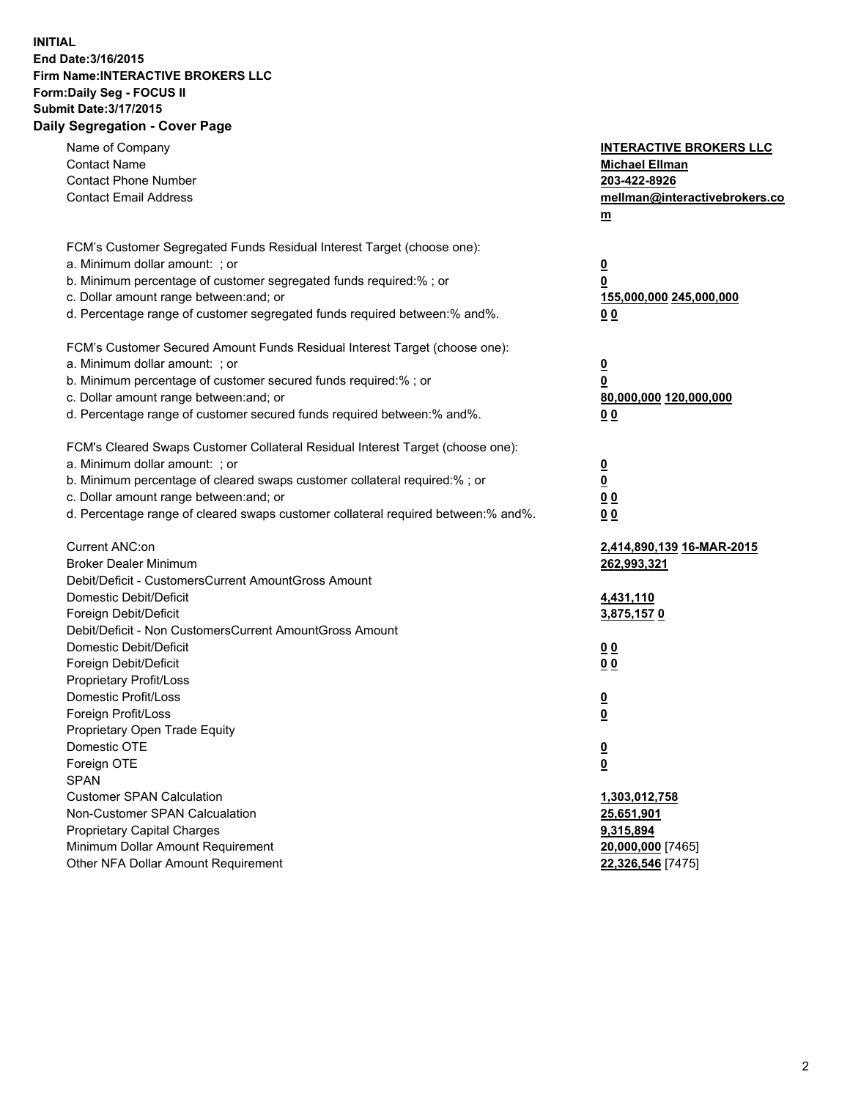## **INITIAL End Date:3/16/2015 Firm Name:INTERACTIVE BROKERS LLC Form:Daily Seg - FOCUS II Submit Date:3/17/2015 Daily Segregation - Cover Page**

| Name of Company<br><b>Contact Name</b><br><b>Contact Phone Number</b><br><b>Contact Email Address</b>                                                                                                                                                                                                                          | <b>INTERACTIVE BROKERS LLC</b><br><b>Michael Ellman</b><br>203-422-8926<br>mellman@interactivebrokers.co<br>$m$ |
|--------------------------------------------------------------------------------------------------------------------------------------------------------------------------------------------------------------------------------------------------------------------------------------------------------------------------------|-----------------------------------------------------------------------------------------------------------------|
| FCM's Customer Segregated Funds Residual Interest Target (choose one):<br>a. Minimum dollar amount: ; or<br>b. Minimum percentage of customer segregated funds required:% ; or<br>c. Dollar amount range between: and; or<br>d. Percentage range of customer segregated funds required between:% and%.                         | $\overline{\mathbf{0}}$<br>0<br>155,000,000 245,000,000<br>0 <sub>0</sub>                                       |
| FCM's Customer Secured Amount Funds Residual Interest Target (choose one):<br>a. Minimum dollar amount: ; or<br>b. Minimum percentage of customer secured funds required:% ; or<br>c. Dollar amount range between: and; or<br>d. Percentage range of customer secured funds required between:% and%.                           | $\overline{\mathbf{0}}$<br>0<br>80,000,000 120,000,000<br>0 <sub>0</sub>                                        |
| FCM's Cleared Swaps Customer Collateral Residual Interest Target (choose one):<br>a. Minimum dollar amount: ; or<br>b. Minimum percentage of cleared swaps customer collateral required:% ; or<br>c. Dollar amount range between: and; or<br>d. Percentage range of cleared swaps customer collateral required between:% and%. | $\overline{\mathbf{0}}$<br>$\overline{\mathbf{0}}$<br>0 <sub>0</sub><br>0 <sub>0</sub>                          |
| Current ANC:on<br><b>Broker Dealer Minimum</b><br>Debit/Deficit - CustomersCurrent AmountGross Amount<br>Domestic Debit/Deficit<br>Foreign Debit/Deficit                                                                                                                                                                       | 2,414,890,139 16-MAR-2015<br>262,993,321<br>4,431,110<br>3,875,1570                                             |
| Debit/Deficit - Non CustomersCurrent AmountGross Amount<br>Domestic Debit/Deficit<br>Foreign Debit/Deficit<br>Proprietary Profit/Loss<br>Domestic Profit/Loss<br>Foreign Profit/Loss                                                                                                                                           | 0 <sub>0</sub><br>0 <sub>0</sub><br>$\overline{\mathbf{0}}$<br>$\underline{\mathbf{0}}$                         |
| Proprietary Open Trade Equity<br>Domestic OTE<br>Foreign OTE<br><b>SPAN</b><br><b>Customer SPAN Calculation</b>                                                                                                                                                                                                                | <u>0</u><br><u>0</u><br>1,303,012,758                                                                           |
| Non-Customer SPAN Calcualation<br>Proprietary Capital Charges<br>Minimum Dollar Amount Requirement<br>Other NFA Dollar Amount Requirement                                                                                                                                                                                      | 25,651,901<br>9,315,894<br>20,000,000 [7465]<br>22,326,546 [7475]                                               |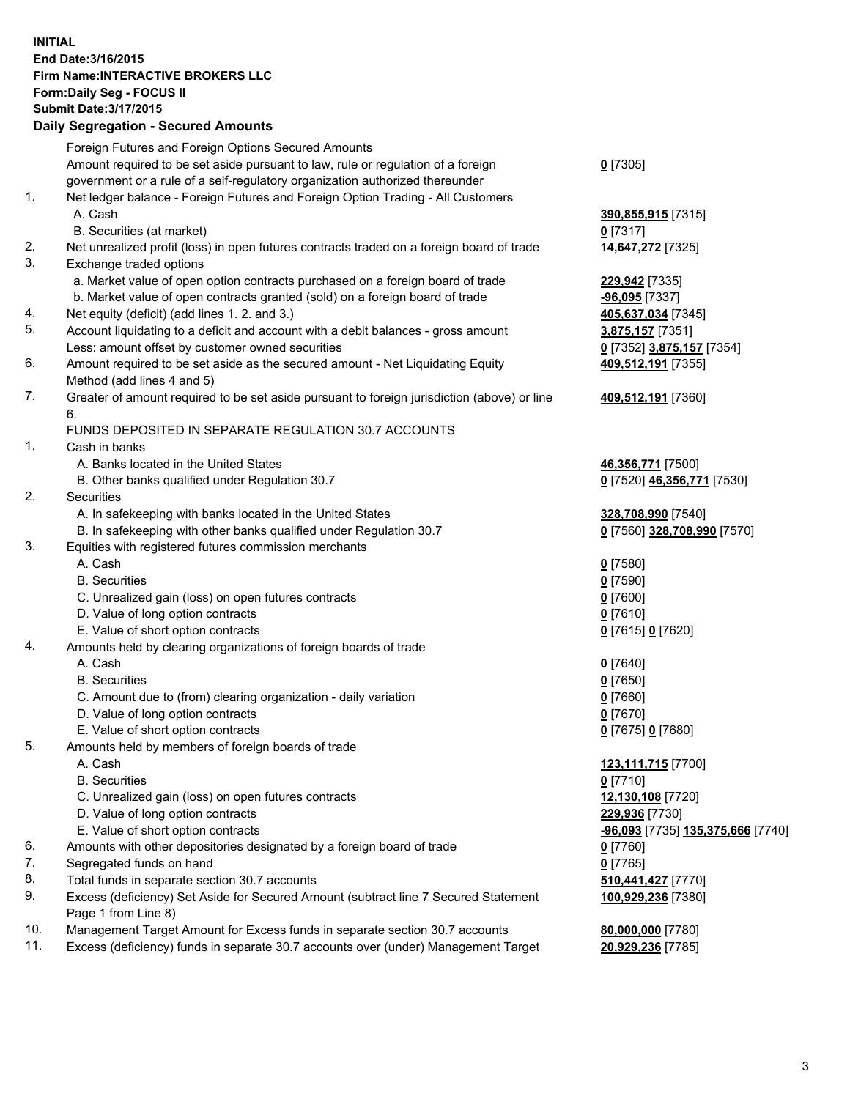## **INITIAL End Date:3/16/2015 Firm Name:INTERACTIVE BROKERS LLC Form:Daily Seg - FOCUS II Submit Date:3/17/2015 Daily Segregation - Secured Amounts**

|     | Foreign Futures and Foreign Options Secured Amounts                                         |                                   |
|-----|---------------------------------------------------------------------------------------------|-----------------------------------|
|     | Amount required to be set aside pursuant to law, rule or regulation of a foreign            | $0$ [7305]                        |
|     | government or a rule of a self-regulatory organization authorized thereunder                |                                   |
| 1.  | Net ledger balance - Foreign Futures and Foreign Option Trading - All Customers             |                                   |
|     | A. Cash                                                                                     | 390,855,915 [7315]                |
|     | B. Securities (at market)                                                                   | $0$ [7317]                        |
| 2.  | Net unrealized profit (loss) in open futures contracts traded on a foreign board of trade   | 14,647,272 [7325]                 |
| 3.  | Exchange traded options                                                                     |                                   |
|     | a. Market value of open option contracts purchased on a foreign board of trade              | 229,942 [7335]                    |
|     | b. Market value of open contracts granted (sold) on a foreign board of trade                | -96,095 [7337]                    |
| 4.  | Net equity (deficit) (add lines 1.2. and 3.)                                                | 405,637,034 [7345]                |
| 5.  | Account liquidating to a deficit and account with a debit balances - gross amount           | 3,875,157 [7351]                  |
|     | Less: amount offset by customer owned securities                                            | 0 [7352] 3,875,157 [7354]         |
| 6.  | Amount required to be set aside as the secured amount - Net Liquidating Equity              |                                   |
|     |                                                                                             | 409,512,191 [7355]                |
|     | Method (add lines 4 and 5)                                                                  |                                   |
| 7.  | Greater of amount required to be set aside pursuant to foreign jurisdiction (above) or line | 409,512,191 [7360]                |
|     | 6.                                                                                          |                                   |
|     | FUNDS DEPOSITED IN SEPARATE REGULATION 30.7 ACCOUNTS                                        |                                   |
| 1.  | Cash in banks                                                                               |                                   |
|     | A. Banks located in the United States                                                       | 46,356,771 [7500]                 |
|     | B. Other banks qualified under Regulation 30.7                                              | 0 [7520] 46,356,771 [7530]        |
| 2.  | Securities                                                                                  |                                   |
|     | A. In safekeeping with banks located in the United States                                   | 328,708,990 [7540]                |
|     | B. In safekeeping with other banks qualified under Regulation 30.7                          | 0 [7560] 328,708,990 [7570]       |
| 3.  | Equities with registered futures commission merchants                                       |                                   |
|     | A. Cash                                                                                     | $0$ [7580]                        |
|     | <b>B.</b> Securities                                                                        | $0$ [7590]                        |
|     | C. Unrealized gain (loss) on open futures contracts                                         | $0$ [7600]                        |
|     | D. Value of long option contracts                                                           | $0$ [7610]                        |
|     | E. Value of short option contracts                                                          | 0 [7615] 0 [7620]                 |
| 4.  | Amounts held by clearing organizations of foreign boards of trade                           |                                   |
|     | A. Cash                                                                                     | $0$ [7640]                        |
|     | <b>B.</b> Securities                                                                        | $0$ [7650]                        |
|     | C. Amount due to (from) clearing organization - daily variation                             | $0$ [7660]                        |
|     | D. Value of long option contracts                                                           | $0$ [7670]                        |
|     | E. Value of short option contracts                                                          | 0 [7675] 0 [7680]                 |
| 5.  | Amounts held by members of foreign boards of trade                                          |                                   |
|     | A. Cash                                                                                     | 123,111,715 [7700]                |
|     | <b>B.</b> Securities                                                                        | $0$ [7710]                        |
|     | C. Unrealized gain (loss) on open futures contracts                                         | 12,130,108 [7720]                 |
|     | D. Value of long option contracts                                                           | 229,936 [7730]                    |
|     | E. Value of short option contracts                                                          | -96,093 [7735] 135,375,666 [7740] |
| 6.  | Amounts with other depositories designated by a foreign board of trade                      | $0$ [7760]                        |
| 7.  | Segregated funds on hand                                                                    | $0$ [7765]                        |
| 8.  | Total funds in separate section 30.7 accounts                                               | 510,441,427 [7770]                |
| 9.  | Excess (deficiency) Set Aside for Secured Amount (subtract line 7 Secured Statement         | 100,929,236 [7380]                |
|     | Page 1 from Line 8)                                                                         |                                   |
| 10. | Management Target Amount for Excess funds in separate section 30.7 accounts                 | 80,000,000 [7780]                 |
| 11. | Excess (deficiency) funds in separate 30.7 accounts over (under) Management Target          | 20,929,236 [7785]                 |
|     |                                                                                             |                                   |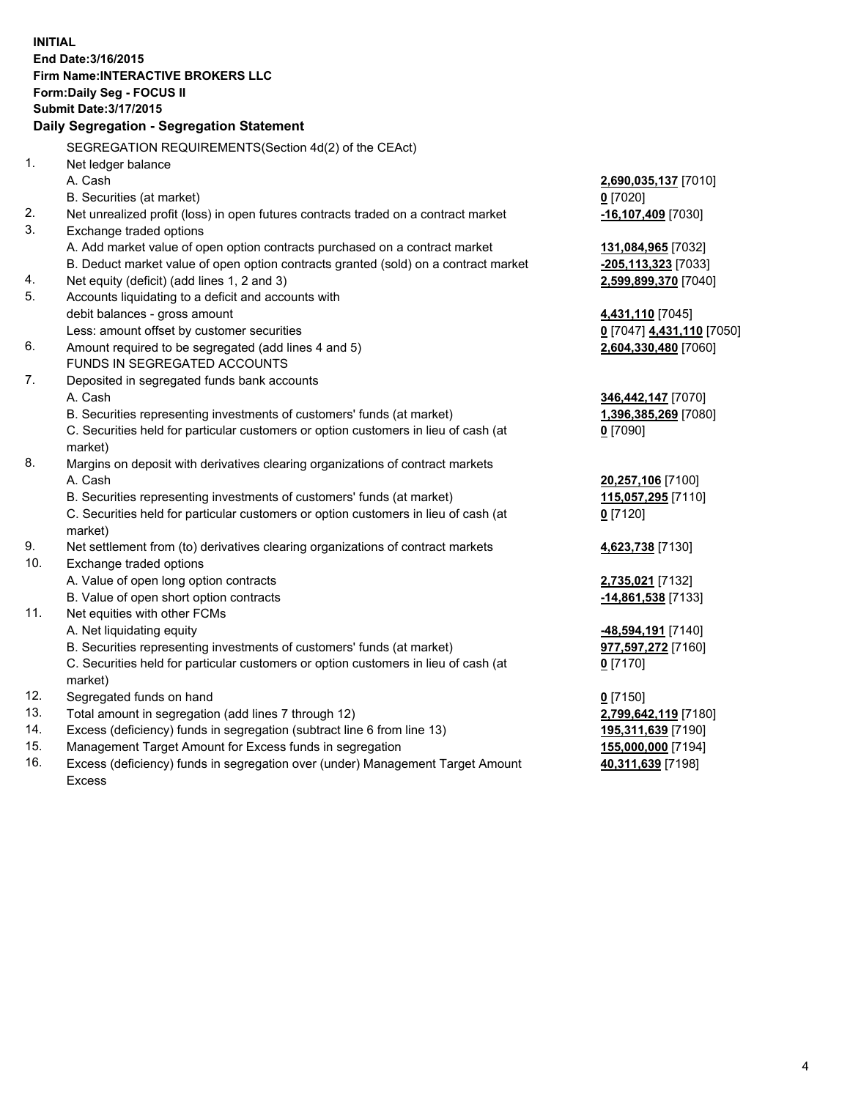**INITIAL End Date:3/16/2015 Firm Name:INTERACTIVE BROKERS LLC Form:Daily Seg - FOCUS II Submit Date:3/17/2015 Daily Segregation - Segregation Statement** SEGREGATION REQUIREMENTS(Section 4d(2) of the CEAct) 1. Net ledger balance A. Cash **2,690,035,137** [7010] B. Securities (at market) **0** [7020] 2. Net unrealized profit (loss) in open futures contracts traded on a contract market **-16,107,409** [7030] 3. Exchange traded options A. Add market value of open option contracts purchased on a contract market **131,084,965** [7032] B. Deduct market value of open option contracts granted (sold) on a contract market **-205,113,323** [7033] 4. Net equity (deficit) (add lines 1, 2 and 3) **2,599,899,370** [7040] 5. Accounts liquidating to a deficit and accounts with debit balances - gross amount **4,431,110** [7045] Less: amount offset by customer securities **0** [7047] **4,431,110** [7050] 6. Amount required to be segregated (add lines 4 and 5) **2,604,330,480** [7060] FUNDS IN SEGREGATED ACCOUNTS 7. Deposited in segregated funds bank accounts A. Cash **346,442,147** [7070] B. Securities representing investments of customers' funds (at market) **1,396,385,269** [7080] C. Securities held for particular customers or option customers in lieu of cash (at market) **0** [7090] 8. Margins on deposit with derivatives clearing organizations of contract markets A. Cash **20,257,106** [7100] B. Securities representing investments of customers' funds (at market) **115,057,295** [7110] C. Securities held for particular customers or option customers in lieu of cash (at market) **0** [7120] 9. Net settlement from (to) derivatives clearing organizations of contract markets **4,623,738** [7130] 10. Exchange traded options A. Value of open long option contracts **2,735,021** [7132] B. Value of open short option contracts **-14,861,538** [7133] 11. Net equities with other FCMs A. Net liquidating equity **-48,594,191** [7140] B. Securities representing investments of customers' funds (at market) **977,597,272** [7160] C. Securities held for particular customers or option customers in lieu of cash (at market) **0** [7170] 12. Segregated funds on hand **0** [7150] 13. Total amount in segregation (add lines 7 through 12) **2,799,642,119** [7180] 14. Excess (deficiency) funds in segregation (subtract line 6 from line 13) **195,311,639** [7190] 15. Management Target Amount for Excess funds in segregation **155,000,000** [7194]

16. Excess (deficiency) funds in segregation over (under) Management Target Amount Excess

**40,311,639** [7198]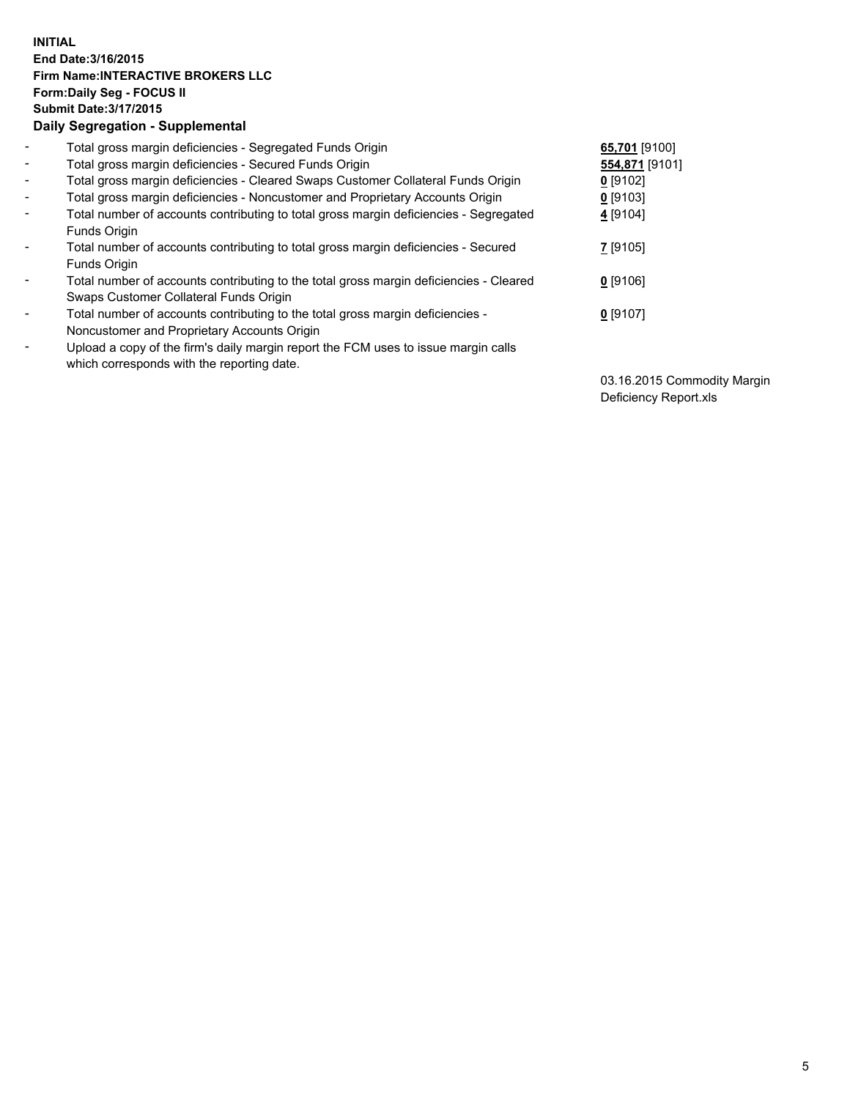## **INITIAL End Date:3/16/2015 Firm Name:INTERACTIVE BROKERS LLC Form:Daily Seg - FOCUS II Submit Date:3/17/2015 Daily Segregation - Supplemental**

| $\blacksquare$           | Total gross margin deficiencies - Segregated Funds Origin                              | 65,701 [9100]  |
|--------------------------|----------------------------------------------------------------------------------------|----------------|
| $\blacksquare$           | Total gross margin deficiencies - Secured Funds Origin                                 | 554,871 [9101] |
| $\blacksquare$           | Total gross margin deficiencies - Cleared Swaps Customer Collateral Funds Origin       | $0$ [9102]     |
| $\blacksquare$           | Total gross margin deficiencies - Noncustomer and Proprietary Accounts Origin          | $0$ [9103]     |
| $\blacksquare$           | Total number of accounts contributing to total gross margin deficiencies - Segregated  | 4 [9104]       |
|                          | Funds Origin                                                                           |                |
| $\blacksquare$           | Total number of accounts contributing to total gross margin deficiencies - Secured     | 7 [9105]       |
|                          | Funds Origin                                                                           |                |
| $\overline{\phantom{a}}$ | Total number of accounts contributing to the total gross margin deficiencies - Cleared | $0$ [9106]     |
|                          | Swaps Customer Collateral Funds Origin                                                 |                |
| -                        | Total number of accounts contributing to the total gross margin deficiencies -         | $0$ [9107]     |
|                          | Noncustomer and Proprietary Accounts Origin                                            |                |
| $\blacksquare$           | Upload a copy of the firm's daily margin report the FCM uses to issue margin calls     |                |
|                          | which corresponds with the reporting date.                                             |                |

03.16.2015 Commodity Margin Deficiency Report.xls